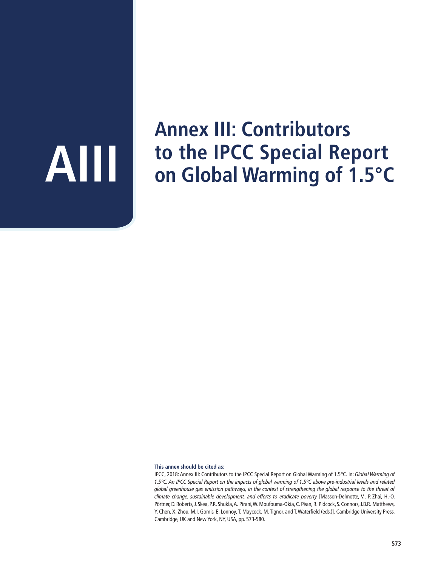# **AIII**

# **Annex III: Contributors to the IPCC Special Report on Global Warming of 1.5°C**

## **This annex should be cited as:**

IPCC, 2018: Annex III: Contributors to the IPCC Special Report on Global Warming of 1.5°C. In: Global Warming of 1.5°C. An IPCC Special Report on the impacts of global warming of 1.5°C above pre-industrial levels and related global greenhouse gas emission pathways, in the context of strengthening the global response to the threat of climate change, sustainable development, and efforts to eradicate poverty [Masson-Delmotte, V., P. Zhai, H.-O. Pörtner, D. Roberts, J. Skea, P.R. Shukla, A. Pirani, W. Moufouma-Okia, C. Péan, R. Pidcock, S. Connors, J.B.R. Matthews, Y. Chen, X. Zhou, M.I. Gomis, E. Lonnoy, T. Maycock, M. Tignor, and T. Waterfield (eds.)]. Cambridge University Press, Cambridge, UK and New York, NY, USA, pp. 573-580.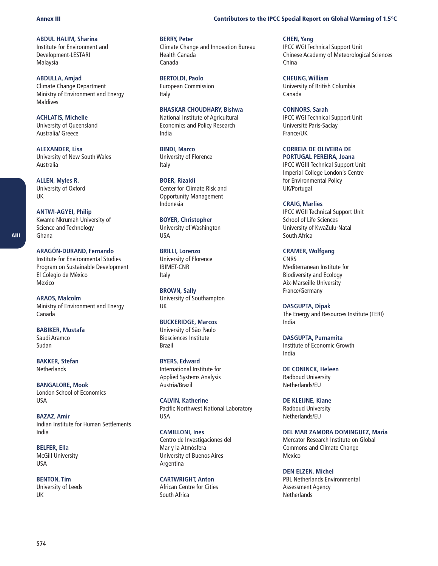**ABDUL HALIM, Sharina** Institute for Environment and Development-LESTARI Malaysia

**ABDULLA, Amjad** Climate Change Department Ministry of Environment and Energy Maldives

**ACHLATIS, Michelle** University of Queensland Australia/ Greece

**ALEXANDER, Lisa** University of New South Wales Australia

**ALLEN, Myles R.** University of Oxford UK

**ANTWI-AGYEI, Philip** Kwame Nkrumah University of Science and Technology Ghana

**ARAGÓN-DURAND, Fernando** Institute for Environmental Studies Program on Sustainable Development El Colegio de México Mexico

**ARAOS, Malcolm** Ministry of Environment and Energy Canada

**BABIKER, Mustafa** Saudi Aramco Sudan

**BAKKER, Stefan Netherlands** 

**BANGALORE, Mook** London School of Economics USA

**BAZAZ, Amir** Indian Institute for Human Settlements India

**BELFER, Ella** McGill University USA

**BENTON, Tim** University of Leeds UK

# **BERRY, Peter** Climate Change and Innovation Bureau Health Canada Canada

**BERTOLDI, Paolo** European Commission Italy

# **BHASKAR CHOUDHARY, Bishwa**

National Institute of Agricultural Economics and Policy Research India

**BINDI, Marco** University of Florence Italy

**BOER, Rizaldi** Center for Climate Risk and Opportunity Management Indonesia

**BOYER, Christopher** University of Washington USA

**BRILLI, Lorenzo** University of Florence IBIMET-CNR Italy

**BROWN, Sally** University of Southampton UK

**BUCKERIDGE, Marcos** University of São Paulo Biosciences Institute Brazil

**BYERS, Edward** International Institute for Applied Systems Analysis Austria/Brazil

**CALVIN, Katherine** Pacific Northwest National Laboratory USA

**CAMILLONI, Ines** Centro de Investigaciones del Mar y la Atmósfera University of Buenos Aires Argentina

**CARTWRIGHT, Anton** African Centre for Cities South Africa

**CHEN, Yang** IPCC WGI Technical Support Unit Chinese Academy of Meteorological Sciences China

**CHEUNG, William** University of British Columbia Canada

**CONNORS, Sarah** IPCC WGI Technical Support Unit Université Paris-Saclay France/UK

**CORREIA DE OLIVEIRA DE PORTUGAL PEREIRA, Joana**

IPCC WGIII Technical Support Unit Imperial College London's Centre for Environmental Policy UK/Portugal

**CRAIG, Marlies** IPCC WGII Technical Support Unit

School of Life Sciences University of KwaZulu-Natal South Africa

**CRAMER, Wolfgang CNRS** Mediterranean Institute for Biodiversity and Ecology Aix-Marseille University France/Germany

**DASGUPTA, Dipak** The Energy and Resources Institute (TERI) India

**DASGUPTA, Purnamita** Institute of Economic Growth India

**DE CONINCK, Heleen** Radboud University Netherlands/EU

**DE KLEIJNE, Kiane** Radboud University Netherlands/EU

**DEL MAR ZAMORA DOMINGUEZ, Maria** Mercator Research Institute on Global Commons and Climate Change Mexico

**DEN ELZEN, Michel** PBL Netherlands Environmental Assessment Agency **Netherlands**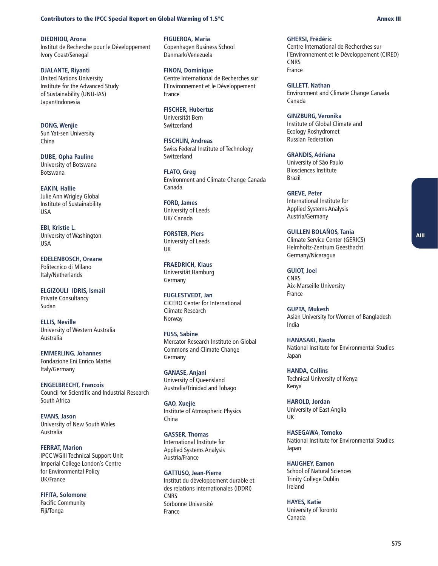# Contributors to the IPCC Special Report on Global Warming of 1.5°C Annex III Annex III

**DIEDHIOU, Arona** Institut de Recherche pour le Développement Ivory Coast/Senegal

**DJALANTE, Riyanti** United Nations University Institute for the Advanced Study of Sustainability (UNU-IAS) Japan/Indonesia

**DONG, Wenjie** Sun Yat-sen University China

**DUBE, Opha Pauline** University of Botswana Botswana

**EAKIN, Hallie** Julie Ann Wrigley Global Institute of Sustainability USA

**EBI, Kristie L.** University of Washington USA

**EDELENBOSCH, Oreane** Politecnico di Milano Italy/Netherlands

**ELGIZOULI IDRIS, Ismail** Private Consultancy Sudan

**ELLIS, Neville** University of Western Australia Australia

**EMMERLING, Johannes** Fondazione Eni Enrico Mattei Italy/Germany

**ENGELBRECHT, Francois** Council for Scientific and Industrial Research South Africa

**EVANS, Jason** University of New South Wales Australia

**FERRAT, Marion** IPCC WGIII Technical Support Unit Imperial College London's Centre for Environmental Policy UK/France

**FIFITA, Solomone** Pacific Community Fiji/Tonga

**FIGUEROA, Maria** Copenhagen Business School Danmark/Venezuela

**FINON, Dominique** Centre International de Recherches sur l'Environnement et le Développement France

**FISCHER, Hubertus** Universität Bern Switzerland

**FISCHLIN, Andreas** Swiss Federal Institute of Technology Switzerland

**FLATO, Greg** Environment and Climate Change Canada Canada

**FORD, James** University of Leeds UK/ Canada

**FORSTER, Piers** University of Leeds UK

**FRAEDRICH, Klaus** Universität Hamburg Germany

**FUGLESTVEDT, Jan** CICERO Center for International Climate Research Norway

**FUSS, Sabine** Mercator Research Institute on Global Commons and Climate Change Germany

**GANASE, Anjani** University of Queensland Australia/Trinidad and Tobago

**GAO, Xuejie** Institute of Atmospheric Physics China

**GASSER, Thomas** International Institute for Applied Systems Analysis Austria/France

**GATTUSO, Jean-Pierre** Institut du développement durable et des relations internationales (IDDRI) CNRS Sorbonne Université France

**GHERSI, Frédéric** Centre International de Recherches sur l'Environnement et le Développement (CIRED) CNRS France

**GILLETT, Nathan** Environment and Climate Change Canada Canada

**GINZBURG, Veronika** Institute of Global Climate and Ecology Roshydromet Russian Federation

**GRANDIS, Adriana** University of São Paulo Biosciences Institute Brazil

**GREVE, Peter** International Institute for Applied Systems Analysis Austria/Germany

**GUILLEN BOLAÑOS, Tania** Climate Service Center (GERICS) Helmholtz-Zentrum Geesthacht Germany/Nicaragua

**GUIOT, Joel CNRS** Aix-Marseille University France

**GUPTA, Mukesh** Asian University for Women of Bangladesh India

**HANASAKI, Naota** National Institute for Environmental Studies Japan

**HANDA, Collins** Technical University of Kenya Kenya

**HAROLD, Jordan** University of East Anglia UK

**HASEGAWA, Tomoko** National Institute for Environmental Studies Japan

**HAUGHEY, Eamon** School of Natural Sciences Trinity College Dublin Ireland

**HAYES, Katie** University of Toronto Canada

AIII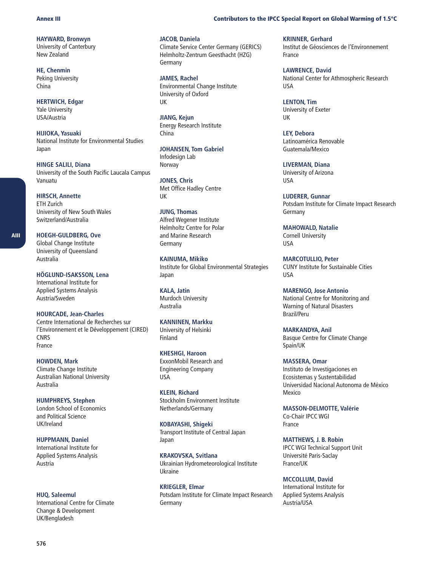**HAYWARD, Bronwyn** University of Canterbury New Zealand

**HE, Chenmin** Peking University China

**HERTWICH, Edgar** Yale University USA/Austria

**HIJIOKA, Yasuaki** National Institute for Environmental Studies Japan

**HINGE SALILI, Diana** University of the South Pacific Laucala Campus Vanuatu

**HIRSCH, Annette** ETH Zurich University of New South Wales Switzerland/Australia

**HOEGH-GULDBERG, Ove** Global Change Institute University of Queensland Australia

**HÖGLUND-ISAKSSON, Lena** International Institute for Applied Systems Analysis Austria/Sweden

**HOURCADE, Jean-Charles** Centre International de Recherches sur l'Environnement et le Développement (CIRED) **CNRS** France

**HOWDEN, Mark** Climate Change Institute Australian National University Australia

**HUMPHREYS, Stephen** London School of Economics and Political Science UK/Ireland

**HUPPMANN, Daniel** International Institute for Applied Systems Analysis Austria

**HUQ, Saleemul** International Centre for Climate Change & Development UK/Bengladesh

# **JACOB, Daniela** Climate Service Center Germany (GERICS) Helmholtz-Zentrum Geesthacht (HZG) Germany

**JAMES, Rachel** Environmental Change Institute University of Oxford UK

**JIANG, Kejun** Energy Research Institute China

**JOHANSEN, Tom Gabriel** Infodesign Lab Norway

**JONES, Chris** Met Office Hadley Centre UK

**JUNG, Thomas** Alfred Wegener Institute Helmholtz Centre for Polar and Marine Research Germany

**KAINUMA, Mikiko** Institute for Global Environmental Strategies Japan

**KALA, Jatin** Murdoch University Australia

**KANNINEN, Markku** University of Helsinki Finland

**KHESHGI, Haroon** ExxonMobil Research and Engineering Company USA

**KLEIN, Richard** Stockholm Environment Institute Netherlands/Germany

**KOBAYASHI, Shigeki** Transport Institute of Central Japan Japan

**KRAKOVSKA, Svitlana** Ukrainian Hydrometeorological Institute Ukraine

**KRIEGLER, Elmar** Potsdam Institute for Climate Impact Research Germany

**KRINNER, Gerhard** Institut de Géosciences de l'Environnement France

**LAWRENCE, David** National Center for Athmospheric Research USA

**LENTON, Tim** University of Exeter UK

**LEY, Debora** Latinoamérica Renovable Guatemala/Mexico

**LIVERMAN, Diana** University of Arizona USA

**LUDERER, Gunnar** Potsdam Institute for Climate Impact Research Germany

**MAHOWALD, Natalie** Cornell University USA

**MARCOTULLIO, Peter** CUNY Institute for Sustainable Cities USA

**MARENGO, Jose Antonio** National Centre for Monitoring and Warning of Natural Disasters Brazil/Peru

**MARKANDYA, Anil** Basque Centre for Climate Change Spain/UK

**MASSERA, Omar** Instituto de Investigaciones en Ecosistemas y Sustentabilidad Universidad Nacional Autonoma de México Mexico

**MASSON-DELMOTTE, Valérie** Co-Chair IPCC WGI France

**MATTHEWS, J. B. Robin** IPCC WGI Technical Support Unit Université Paris-Saclay France/UK

**MCCOLLUM, David** International Institute for Applied Systems Analysis Austria/USA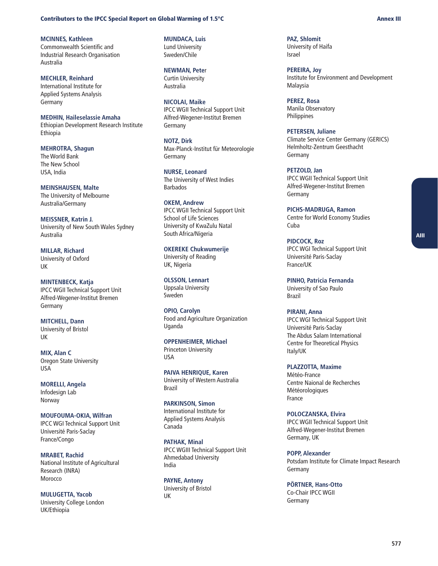# Contributors to the IPCC Special Report on Global Warming of 1.5°C Annex III Annex III

**MCINNES, Kathleen** Commonwealth Scientific and Industrial Research Organisation Australia

**MECHLER, Reinhard** International Institute for Applied Systems Analysis Germany

**MEDHIN, Haileselassie Amaha** Ethiopian Development Research Institute Ethiopia

**MEHROTRA, Shagun** The World Bank The New School USA, India

**MEINSHAUSEN, Malte** The University of Melbourne Australia/Germany

**MEISSNER, Katrin J.** University of New South Wales Sydney Australia

**MILLAR, Richard** University of Oxford UK

**MINTENBECK, Katja** IPCC WGII Technical Support Unit Alfred-Wegener-Institut Bremen Germany

**MITCHELL, Dann** University of Bristol UK

**MIX, Alan C** Oregon State University USA

**MORELLI, Angela** Infodesign Lab Norway

**MOUFOUMA-OKIA, Wilfran** IPCC WGI Technical Support Unit Université Paris-Saclay France/Congo

**MRABET, Rachid** National Institute of Agricultural Research (INRA) Morocco

**MULUGETTA, Yacob** University College London UK/Ethiopia

**MUNDACA, Luis** Lund University Sweden/Chile

**NEWMAN, Pete**r Curtin University Australia

**NICOLAI, Maike** IPCC WGII Technical Support Unit Alfred-Wegener-Institut Bremen Germany

**NOTZ, Dirk** Max-Planck-Institut für Meteorologie Germany

**NURSE, Leonard** The University of West Indies Barbados

**OKEM, Andrew** IPCC WGII Technical Support Unit School of Life Sciences University of KwaZulu Natal South Africa/Nigeria

**OKEREKE Chukwumerije** University of Reading UK, Nigeria

**OLSSON, Lennart** Uppsala University Sweden

**OPIO, Carolyn** Food and Agriculture Organization Uganda

**OPPENHEIMER, Michael** Princeton University USA

**PAIVA HENRIQUE, Karen** University of Western Australia Brazil

**PARKINSON, Simon** International Institute for Applied Systems Analysis Canada

**PATHAK, Minal** IPCC WGIII Technical Support Unit Ahmedabad University India

**PAYNE, Antony** University of Bristol UK

**PAZ, Shlomit** University of Haifa Israel

**PEREIRA, Joy** Institute for Environment and Development Malaysia

**PEREZ, Rosa** Manila Observatory Philippines

**PETERSEN, Juliane** Climate Service Center Germany (GERICS) Helmholtz-Zentrum Geesthacht Germany

**PETZOLD, Jan** IPCC WGII Technical Support Unit Alfred-Wegener-Institut Bremen Germany

**PICHS-MADRUGA, Ramon** Centre for World Economy Studies Cuba

**PIDCOCK, Roz** IPCC WGI Technical Support Unit Université Paris-Saclay France/UK

**PINHO, Patricia Fernanda** University of Sao Paulo Brazil

**PIRANI, Anna** IPCC WGI Technical Support Unit Université Paris-Saclay The Abdus Salam International

Centre for Theoretical Physics Italy/UK

**PLAZZOTTA, Maxime** Météo-France Centre Naional de Recherches Météorologiques France

**POLOCZANSKA, Elvira** IPCC WGII Technical Support Unit Alfred-Wegener-Institut Bremen Germany, UK

**POPP, Alexander** Potsdam Institute for Climate Impact Research Germany

**PÖRTNER, Hans-Otto** Co-Chair IPCC WGII Germany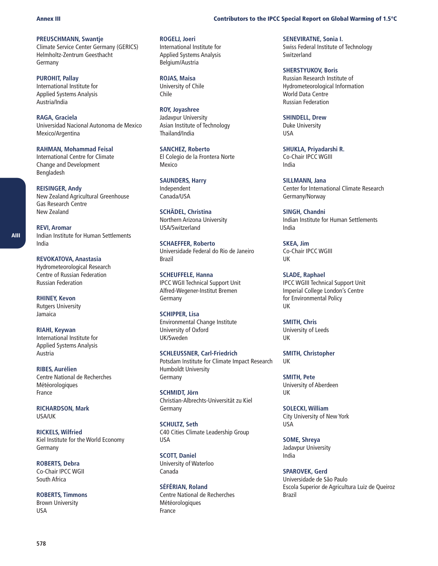**PREUSCHMANN, Swantje** Climate Service Center Germany (GERICS) Helmholtz-Zentrum Geesthacht Germany

**PUROHIT, Pallay** International Institute for Applied Systems Analysis Austria/India

**RAGA, Graciela** Universidad Nacional Autonoma de Mexico Mexico/Argentina

**RAHMAN, Mohammad Feisal** International Centre for Climate Change and Development Bengladesh

**REISINGER, Andy** New Zealand Agricultural Greenhouse Gas Research Centre New Zealand

**REVI, Aromar** Indian Institute for Human Settlements India

**REVOKATOVA, Anastasia** Hydrometeorological Research Centre of Russian Federation Russian Federation

**RHINEY, Kevon** Rutgers University Jamaica

**RIAHI, Keywan** International Institute for Applied Systems Analysis Austria

**RIBES, Aurélien** Centre National de Recherches Météorologiques France

**RICHARDSON, Mark** USA/UK

**RICKELS, Wilfried** Kiel Institute for the World Economy Germany

**ROBERTS, Debra** Co-Chair IPCC WGII South Africa

**ROBERTS, Timmons** Brown University USA

# **ROGELJ, Joeri**

International Institute for Applied Systems Analysis Belgium/Austria

**ROJAS, Maisa** University of Chile Chile

**ROY, Joyashree** Jadavpur University Asian Institute of Technology Thailand/India

**SANCHEZ, Roberto** El Colegio de la Frontera Norte Mexico

**SAUNDERS, Harry** Independent Canada/USA

**SCHÄDEL, Christina** Northern Arizona University USA/Switzerland

**SCHAEFFER, Roberto** Universidade Federal do Rio de Janeiro Brazil

**SCHEUFFELE, Hanna** IPCC WGII Technical Support Unit Alfred-Wegener-Institut Bremen Germany

**SCHIPPER, Lisa** Environmental Change Institute University of Oxford UK/Sweden

**SCHLEUSSNER, Carl-Friedrich** Potsdam Institute for Climate Impact Research Humboldt University Germany

**SCHMIDT, Jörn** Christian-Albrechts-Universität zu Kiel Germany

**SCHULTZ, Seth** C40 Cities Climate Leadership Group USA

**SCOTT, Daniel** University of Waterloo Canada

**SÉFÉRIAN, Roland** Centre National de Recherches Météorologiques France

**SENEVIRATNE, Sonia I.** Swiss Federal Institute of Technology Switzerland

**SHERSTYUKOV, Boris** Russian Research Institute of Hydrometeorological Information World Data Centre Russian Federation

**SHINDELL, Drew** Duke University USA

**SHUKLA, Priyadarshi R.** Co-Chair IPCC WGIII India

**SILLMANN, Jana** Center for International Climate Research Germany/Norway

**SINGH, Chandni** Indian Institute for Human Settlements India

**SKEA, Jim** Co-Chair IPCC WGIII UK

**SLADE, Raphael** IPCC WGIII Technical Support Unit Imperial College London's Centre for Environmental Policy UK

**SMITH, Chris** University of Leeds UK

**SMITH, Christopher** UK

**SMITH, Pete** University of Aberdeen UK

**SOLECKI, William** City University of New York USA

**SOME, Shreya** Jadavpur University India

**SPAROVEK, Gerd** Universidade de São Paulo Escola Superior de Agricultura Luiz de Queiroz Brazil